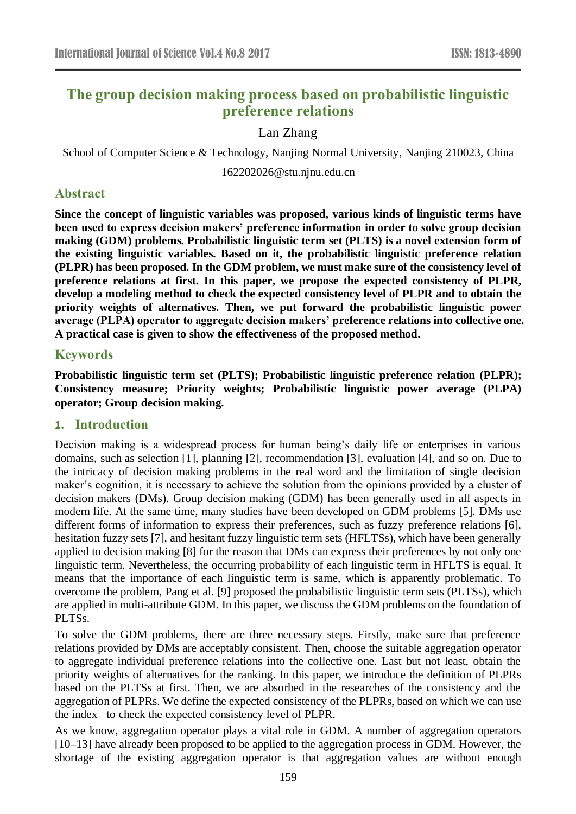# **The group decision making process based on probabilistic linguistic preference relations**

# Lan Zhang

School of Computer Science & Technology, Nanjing Normal University, Nanjing 210023, China

162202026@stu.njnu.edu.cn

# **Abstract**

**Since the concept of linguistic variables was proposed, various kinds of linguistic terms have been used to express decision makers' preference information in order to solve group decision making (GDM) problems. Probabilistic linguistic term set (PLTS) is a novel extension form of the existing linguistic variables. Based on it, the probabilistic linguistic preference relation (PLPR) has been proposed. In the GDM problem, we must make sure of the consistency level of preference relations at first. In this paper, we propose the expected consistency of PLPR, develop a modeling method to check the expected consistency level of PLPR and to obtain the priority weights of alternatives. Then, we put forward the probabilistic linguistic power average (PLPA) operator to aggregate decision makers' preference relations into collective one. A practical case is given to show the effectiveness of the proposed method.**

# **Keywords**

**Probabilistic linguistic term set (PLTS); Probabilistic linguistic preference relation (PLPR); Consistency measure; Priority weights; Probabilistic linguistic power average (PLPA) operator; Group decision making**.

# **1. Introduction**

Decision making is a widespread process for human being's daily life or enterprises in various domains, such as selection [1], planning [2], recommendation [3], evaluation [4], and so on. Due to the intricacy of decision making problems in the real word and the limitation of single decision maker's cognition, it is necessary to achieve the solution from the opinions provided by a cluster of decision makers (DMs). Group decision making (GDM) has been generally used in all aspects in modern life. At the same time, many studies have been developed on GDM problems [5]. DMs use different forms of information to express their preferences, such as fuzzy preference relations [6], hesitation fuzzy sets [7], and hesitant fuzzy linguistic term sets (HFLTSs), which have been generally applied to decision making [8] for the reason that DMs can express their preferences by not only one linguistic term. Nevertheless, the occurring probability of each linguistic term in HFLTS is equal. It means that the importance of each linguistic term is same, which is apparently problematic. To overcome the problem, Pang et al. [9] proposed the probabilistic linguistic term sets (PLTSs), which are applied in multi-attribute GDM. In this paper, we discuss the GDM problems on the foundation of PLTSs.

To solve the GDM problems, there are three necessary steps. Firstly, make sure that preference relations provided by DMs are acceptably consistent. Then, choose the suitable aggregation operator to aggregate individual preference relations into the collective one. Last but not least, obtain the priority weights of alternatives for the ranking. In this paper, we introduce the definition of PLPRs based on the PLTSs at first. Then, we are absorbed in the researches of the consistency and the aggregation of PLPRs. We define the expected consistency of the PLPRs, based on which we can use the index to check the expected consistency level of PLPR.

As we know, aggregation operator plays a vital role in GDM. A number of aggregation operators [10–13] have already been proposed to be applied to the aggregation process in GDM. However, the shortage of the existing aggregation operator is that aggregation values are without enough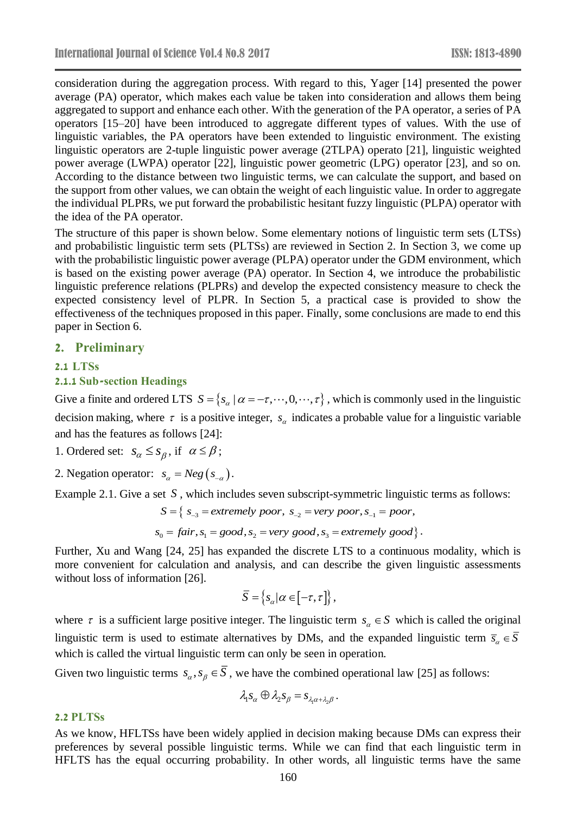consideration during the aggregation process. With regard to this, Yager [14] presented the power average (PA) operator, which makes each value be taken into consideration and allows them being aggregated to support and enhance each other. With the generation of the PA operator, a series of PA operators [15–20] have been introduced to aggregate different types of values. With the use of linguistic variables, the PA operators have been extended to linguistic environment. The existing linguistic operators are 2-tuple linguistic power average (2TLPA) operato [21], linguistic weighted power average (LWPA) operator [22], linguistic power geometric (LPG) operator [23], and so on. According to the distance between two linguistic terms, we can calculate the support, and based on the support from other values, we can obtain the weight of each linguistic value. In order to aggregate the individual PLPRs, we put forward the probabilistic hesitant fuzzy linguistic (PLPA) operator with the idea of the PA operator.

The structure of this paper is shown below. Some elementary notions of linguistic term sets (LTSs) and probabilistic linguistic term sets (PLTSs) are reviewed in Section 2. In Section 3, we come up with the probabilistic linguistic power average (PLPA) operator under the GDM environment, which is based on the existing power average (PA) operator. In Section 4, we introduce the probabilistic linguistic preference relations (PLPRs) and develop the expected consistency measure to check the expected consistency level of PLPR. In Section 5, a practical case is provided to show the effectiveness of the techniques proposed in this paper. Finally, some conclusions are made to end this paper in Section 6.

#### **2. Preliminary**

#### **2.1 LTSs**

#### **2.1.1 Sub-section Headings**

Give a finite and ordered LTS  $S = \{s_\alpha \mid \alpha = -\tau, \dots, 0, \dots, \tau\}$ , which is commonly used in the linguistic decision making, where  $\tau$  is a positive integer,  $s_{\alpha}$  indicates a probable value for a linguistic variable and has the features as follows [24]:

- 1. Ordered set:  $s_{\alpha} \leq s_{\beta}$ , if  $\alpha \leq \beta$ ;
- 2. Negation operator:  $s_{\alpha} = Neg(s_{-\alpha})$ .

Example 2.1. Give a set S, which includes seven subscript-symmetric linguistic terms as follows:

$$
S = \{ s_{-3} = extremely\ poor, s_{-2} = very\ poor, s_{-1} = poor, s_0 = fair, s_1 = good, s_2 = very\ good, s_3 = extremely\ good \}.
$$

$$
s_0 = fair, s_1 = good, s_2 = very\ good, s_3 = extremely\ good\}.
$$

Further, Xu and Wang [24, 25] has expanded the discrete LTS to a continuous modality, which is more convenient for calculation and analysis, and can describe the given linguistic assessments without loss of information [26].

$$
\overline{S} = \left\{ s_{\alpha} | \alpha \in [-\tau, \tau] \right\},\,
$$

where  $\tau$  is a sufficient large positive integer. The linguistic term  $s_{\alpha} \in S$  which is called the original linguistic term is used to estimate alternatives by DMs, and the expanded linguistic term  $\bar{s}_{\alpha} \in \bar{S}$ which is called the virtual linguistic term can only be seen in operation.

Given two linguistic terms  $s_{\alpha}, s_{\beta} \in S$ , we have the combined operational law [25] as follows:

$$
\lambda_1 s_\alpha \oplus \lambda_2 s_\beta = s_{\lambda_1 \alpha + \lambda_2 \beta} \, .
$$

#### **2.2 PLTSs**

As we know, HFLTSs have been widely applied in decision making because DMs can express their preferences by several possible linguistic terms. While we can find that each linguistic term in HFLTS has the equal occurring probability. In other words, all linguistic terms have the same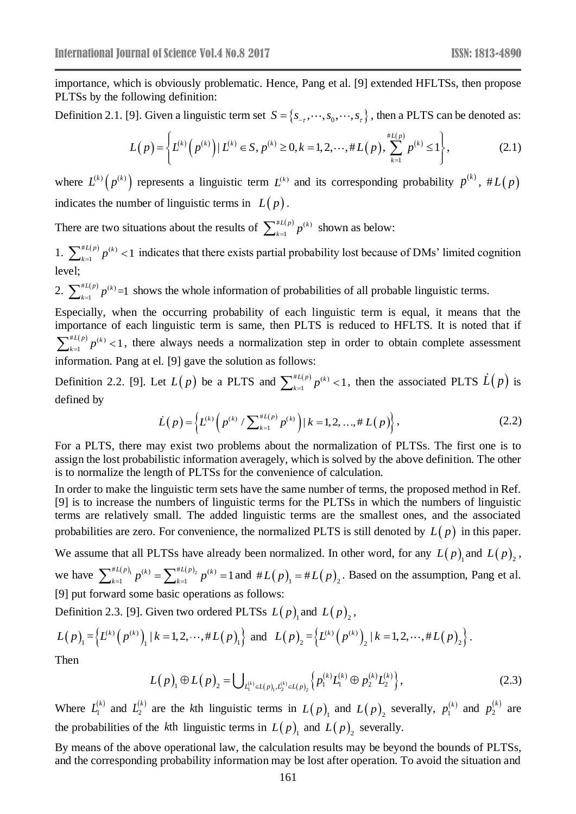importance, which is obviously problematic. Hence, Pang et al. [9] extended HFLTSs, then propose PLTSs by the following definition:

Definition 2.1. [9]. Given a linguistic term set  $S = \{s_{-r}, \dots, s_0, \dots, s_r\}$ , then a PLTS can be denoted as:

$$
L(p) = \left\{ L^{(k)}\left(p^{(k)}\right) | L^{(k)} \in S, p^{(k)} \ge 0, k = 1, 2, \cdots, \# L(p), \sum_{k=1}^{\# L(p)} p^{(k)} \le 1 \right\},\tag{2.1}
$$

where  $L^{(k)}(p^{(k)})$  represents a linguistic term  $L^{(k)}$  and its corresponding probability  $p^{(k)}$ ,  $#L(p)$ indicates the number of linguistic terms in  $L(p)$ .

There are two situations about the results of  $\sum_{k=1}^{H} p^{(k)}$ 1  $L(p)$ <sub>*x*</sub> $(k)$ </sub>  $\sum_{k=1}^{*L(P)} p^{(k)}$  shown as below:

1.  $\sum_{k=1}^{*L(p)} p^{(k)}$  $\sum_{k=1}^{L(p)} p^{(k)} < 1$  $\sum_{k=1}^{n(P)} p^{(k)}$  < 1 indicates that there exists partial probability lost because of DMs' limited cognition level;

2.  $\sum_{k=1}^{\#L(p)} p^{(k)}$  $\sum_{k=1}^{n(L)} p^{(k)} = 1$  shows the whole information of probabilities of all probable linguistic terms.

Especially, when the occurring probability of each linguistic term is equal, it means that the importance of each linguistic term is same, then PLTS is reduced to HFLTS. It is noted that if  $^{\#L(p)}$ <sub>n</sub> $(k)$  $\int_{-1}^{L(p)} p^{(k)} < 1$  $\sum_{k=1}^{n+1} p^{(k)}$  < 1, there always needs a normalization step in order to obtain complete assessment information. Pang at el. [9] gave the solution as follows:

Definition 2.2. [9]. Let  $L(p)$  be a PLTS and  $\sum_{k=1}^{H(L(p)} p^{(k)}$  $\sum_{k=1}^{L(p)} p^{(k)} < 1$  $\sum_{k=1}^{H} L(p) p^{(k)} < 1$ , then the associated PLTS  $\hat{L}(p)$  is defined by

$$
\dot{L}(p) = \left\{ L^{(k)} \left( p^{(k)} / \sum_{k=1}^{H(L(p)} p^{(k)} \right) \middle| k = 1, 2, ..., \# L(p) \right\},\tag{2.2}
$$

For a PLTS, there may exist two problems about the normalization of PLTSs. The first one is to assign the lost probabilistic information averagely, which is solved by the above definition. The other is to normalize the length of PLTSs for the convenience of calculation.

In order to make the linguistic term sets have the same number of terms, the proposed method in Ref. [9] is to increase the numbers of linguistic terms for the PLTSs in which the numbers of linguistic terms are relatively small. The added linguistic terms are the smallest ones, and the associated probabilities are zero. For convenience, the normalized PLTS is still denoted by  $L(p)$  in this paper.

We assume that all PLTSs have already been normalized. In other word, for any  $L(p)$  and  $L(p)$ ,

we have  $\sum_{k=1}^{H}(L(p))} p^{(k)} = \sum_{k=1}^{H}(L(p))} p^{(k)}$  $\sum_{k=1}^{L(p)} p^{(k)} = \sum_{k=1}^{*L(p)} p^{(k)} = 1$  $\sum_{k=1}^{H} p^{(k)} = \sum_{k=1}^{H} p^{(k)} = 1$  and  $H L(p) = H (p) = 2$ . Based on the assumption, Pang et al. [9] put forward some basic operations as follows:

Definition 2.3. [9]. Given two ordered PLTSs  $L(p)$ <sub>1</sub> and  $L(p)$ <sub>2</sub>,

$$
L(p)_{1} = \left\{ L^{(k)}(p^{(k)})_{1} | k = 1, 2, \cdots, \# L(p)_{1} \right\} \text{ and } L(p)_{2} = \left\{ L^{(k)}(p^{(k)})_{2} | k = 1, 2, \cdots, \# L(p)_{2} \right\}.
$$
  
Then

Then

$$
L(p)_{1} \oplus L(p)_{2} = \bigcup_{L_{1}^{(k)} \in L(p)_{1}, L_{2}^{(k)} \in L(p)_{2}} \left\{ p_{1}^{(k)} L_{1}^{(k)} \oplus p_{2}^{(k)} L_{2}^{(k)} \right\},
$$
\n(2.3)

Where  $L_1^{(k)}$  $L_1^{(k)}$  and  $L_2^{(k)}$  $\overline{c}$  $L_2^{(k)}$  are the k<sup>th</sup> linguistic terms in  $L(p)$ <sub>1</sub> and  $L(p)$ <sub>2</sub> severally,  $p_1^{(k)}$  $p_1^{(k)}$  and  $p_2^{(k)}$  $p_2^{(k)}$  are the probabilities of the *k*th linguistic terms in  $L(p)$ <sub>1</sub> and  $L(p)$ <sub>2</sub> severally.

By means of the above operational law, the calculation results may be beyond the bounds of PLTSs, and the corresponding probability information may be lost after operation. To avoid the situation and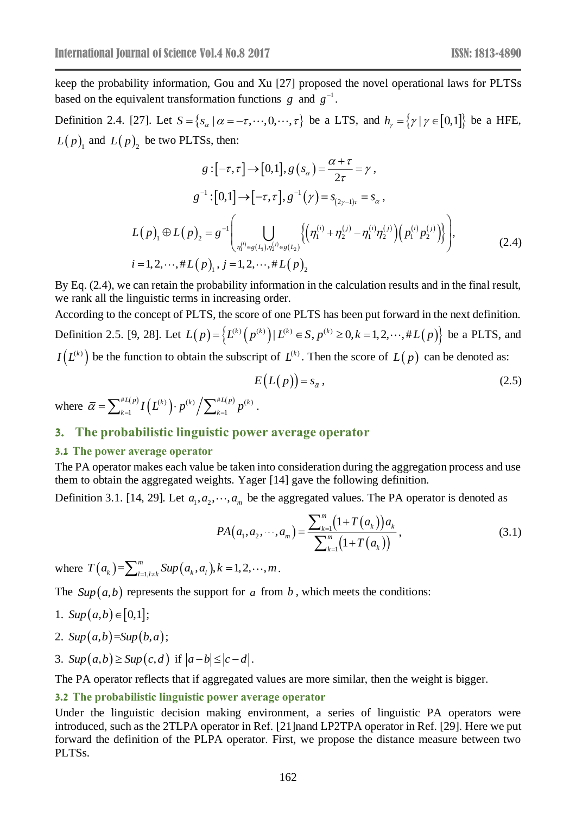keep the probability information, Gou and Xu [27] proposed the novel operational laws for PLTSs based on the equivalent transformation functions  $g$  and  $g^{-1}$ .

Definition 2.4. [27]. Let  $S = \{s_\alpha \mid \alpha = -\tau, \dots, 0, \dots, \tau\}$  be a LTS, and  $h_\gamma = \{\gamma \mid \gamma \in [0,1]\}$  be a HFE,  $L(p)$ <sub>1</sub> and  $L(p)$ <sub>2</sub> be two PLTSs, then:

$$
g: [-\tau, \tau] \to [0,1], g (s_{\alpha}) = \frac{\alpha + \tau}{2\tau} = \gamma,
$$
  
\n
$$
g^{-1}: [0,1] \to [-\tau, \tau], g^{-1}(\gamma) = s_{(2\gamma-1)\tau} = s_{\alpha},
$$
  
\n
$$
L(p)_{1} \oplus L(p)_{2} = g^{-1} \left( \bigcup_{\eta_{1}^{(i)} \in g(L_{1}), \eta_{2}^{(j)} \in g(L_{2})} \left\{ \left( \eta_{1}^{(i)} + \eta_{2}^{(j)} - \eta_{1}^{(i)} \eta_{2}^{(j)} \right) \left( p_{1}^{(i)} p_{2}^{(j)} \right) \right\} \right),
$$
  
\n
$$
i = 1, 2, \dots, \# L(p)_{1}, j = 1, 2, \dots, \# L(p)_{2}
$$
\n(2.4)

By Eq.  $(2.4)$ , we can retain the probability information in the calculation results and in the final result, we rank all the linguistic terms in increasing order.

According to the concept of PLTS, the score of one PLTS has been put forward in the next definition. Definition 2.5. [9, 28]. Let  $L(p) = \left\{ L^{(k)}(p^{(k)}) | L^{(k)} \in S, p^{(k)} \ge 0, k = 1, 2, \dots, \# L(p) \right\}$  be a PLTS, and  $I(L^{(k)})$  be the function to obtain the subscript of  $L^{(k)}$ . Then the score of  $L(p)$  can be denoted as:

$$
E\big(L\big(p\big)\big)=s_{\bar{\alpha}}\,,\tag{2.5}
$$

where  $\bar{\alpha} = \sum_{k=1}^{\#L(p)} I(L^{(k)}) \cdot p^{(k)} / \sum_{k=1}^{\#L(p)} p^{(k)}$  $1 \quad 1 \quad 1 \quad 1 \quad 2 \quad k=1$  $L(p)$   $\mathbf{L}(F(k))$   $(k)$   $\mathbf{\nabla}^{\#L}(p)$   $(k)$  $\bar{\alpha} = \sum_{k=1}^{\#L(P)} I\left(L^{(k)}\right) \cdot p^{(k)} / \sum_{k=1}^{\#L(P)} p^{(k)} \;.$ 

### **3. The probabilistic linguistic power average operator**

#### **3.1 The power average operator**

The PA operator makes each value be taken into consideration during the aggregation process and use them to obtain the aggregated weights. Yager [14] gave the following definition.

Definition 3.1. [14, 29]. Let  $a_1, a_2, \dots, a_m$  be the aggregated values. The PA operator is denoted as

$$
PA(a_1, a_2, \cdots, a_m) = \frac{\sum_{k=1}^{m} (1 + T(a_k)) a_k}{\sum_{k=1}^{m} (1 + T(a_k))},
$$
\n(3.1)

where  $T(a_k) = \sum_{l=1, l \neq k}^{m} \text{Sup}(a_k, a_l)$ ,  $k = 1, 2, \dots, m$ .

The  $Sup(a,b)$  represents the support for a from b, which meets the conditions:

1. 
$$
Sup(a,b) \in [0,1];
$$

- 2.  $Sup(a,b)=Sup(b,a);$
- 3.  $Sup(a,b) \geq Sup(c,d)$  if  $|a-b| \leq |c-d|$ .

The PA operator reflects that if aggregated values are more similar, then the weight is bigger.

#### **3.2 The probabilistic linguistic power average operator**

Under the linguistic decision making environment, a series of linguistic PA operators were introduced, such as the 2TLPA operator in Ref. [21]nand LP2TPA operator in Ref. [29]. Here we put forward the definition of the PLPA operator. First, we propose the distance measure between two PLTSs.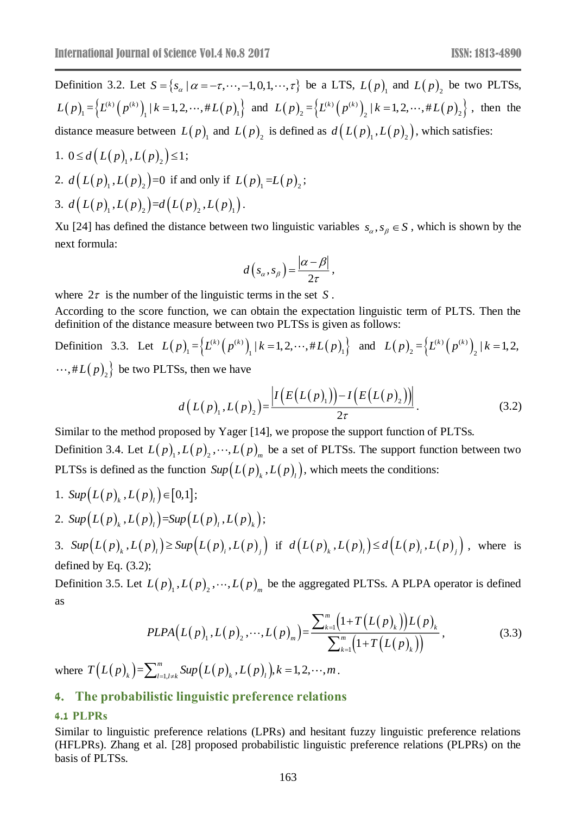Definition 3.2. Let  $S = \{s_\alpha \mid \alpha = -\tau, \dots, -1, 0, 1, \dots, \tau\}$  be a LTS,  $L(p)$  and  $L(p)$  be two PLTSs,  $(p)$ <sub>1</sub> = { $L^{(k)}(p^{(k)})$ <sub>1</sub> | k = 1, 2, ···, #  $L(p)$ <sub>1</sub>}  $L(p) = \left\{ L^{(k)}(p^{(k)})_1 \mid k=1,2,\dots, \# L(p)_1 \right\}$  and  $L(p) = \left\{ L^{(k)}(p^{(k)})_2 \mid k=1,2,\dots, \# L(p)_2 \right\}$  $L(p)_{2} = \left\{ L^{(k)}(p^{(k)})_{2} \mid k=1,2,\cdots,\#L(p)_{2} \right\}$ , then the distance measure between  $L(p)$  and  $L(p)$  is defined as  $d(L(p)$ <sub>1</sub>,  $L(p)$ <sub>2</sub> $)$ , which satisfies:

1.  $0 \le d(L(p)_{1}, L(p)_{2}) \le 1;$ 2.  $d(L(p)_{1}, L(p)_{2})=0$  if and only if  $L(p)_{1} = L(p)_{2}$ ; 3.  $d(L(p)_{1}, L(p)_{2})=d(L(p)_{2}, L(p)_{1}).$ 

Xu [24] has defined the distance between two linguistic variables  $s_{\alpha}, s_{\beta} \in S$ , which is shown by the next formula:

$$
d\left(s_\alpha,s_\beta\right)=\frac{|\alpha-\beta|}{2\tau},
$$

where  $2\tau$  is the number of the linguistic terms in the set S.

According to the score function, we can obtain the expectation linguistic term of PLTS. Then the definition of the distance measure between two PLTSs is given as follows:

Definition 3.3. Let  $L(p) = \{L^{(k)}(p^{(k)})_1 | k = 1, 2, \dots, \# L(p) \}$  $L(p) = \left\{ L^{(k)} (p^{(k)})_1 \mid k = 1, 2, \dots, \# L(p)_1 \right\}$  and  $L(p) = \left\{ L^{(k)} (p^{(k)})_2 \right\}$  $L(p)_{2} = \left\{ L^{(k)}\left(p^{(k)}\right)_{2} \mid k=1,2,\right\}$ ,# $L\bigl(\,p\,\bigr)_2\bigr\}$  be two PLTSs, then we have

$$
d(L(p)_1, L(p)_2) = \frac{|I(E(L(p)_1)) - I(E(L(p)_2))|}{2\tau}.
$$
\n(3.2)

Similar to the method proposed by Yager [14], we propose the support function of PLTSs. Definition 3.4. Let  $L(p)$ <sub>1</sub>,  $L(p)$ <sub>2</sub>,  $\cdots$ ,  $L(p)$ <sub>*m*</sub> be a set of PLTSs. The support function between two PLTSs is defined as the function  $Sup(L(p)_{k}, L(p)_{l})$ , which meets the conditions:

1.  $Sup(L(p)_{k}, L(p)_{l}) \in [0,1];$ 2. Sup $\left(L(p)__{_{\!k}},L(p)__{_{\!l}}\right)$ =Sup $\left(L(p)__{_{\!l}},L(p)__{_{\!k}}\right);$ 

3.  $Sup(L(p)_k, L(p)_l) \geq Sup(L(p)_i, L(p)_j)$  if  $d(L(p)_k, L(p)_l) \leq d(L(p)_i, L(p)_j)$ , where is defined by Eq. (3.2);

Definition 3.5. Let  $L(p)$ <sub>1</sub>,  $L(p)$ <sub>2</sub>,  $\cdots$ ,  $L(p)$ <sub>*m*</sub> be the aggregated PLTSs. A PLPA operator is defined as

$$
PLPA(L(p), L(p), L(p)) = \frac{\sum_{k=1}^{m} (1 + T(L(p), E))L(p)}{\sum_{k=1}^{m} (1 + T(L(p), E))},
$$
\n(3.3)

where  $T(L(p)_{k}) = \sum_{l=1, l \neq k}^{m} \text{Sup}(L(p)_{k}, L(p)_{l}), k = 1, 2, \cdots, m$ .

# **4. The probabilistic linguistic preference relations**

#### **4.1 PLPRs**

Similar to linguistic preference relations (LPRs) and hesitant fuzzy linguistic preference relations (HFLPRs). Zhang et al. [28] proposed probabilistic linguistic preference relations (PLPRs) on the basis of PLTSs.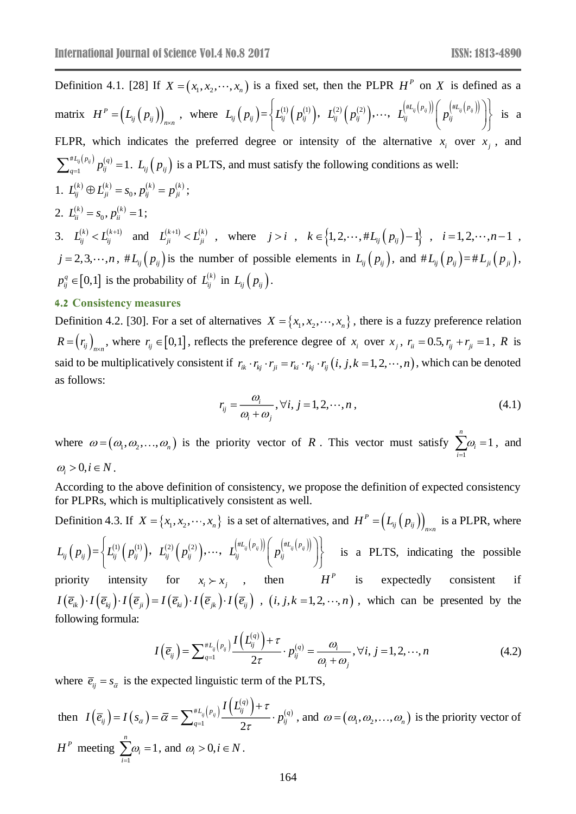Definition 4.1. [28] If  $X = (x_1, x_2, \dots, x_n)$  is a fixed set, then the PLPR  $H^P$  on X is defined as a matrix  $H^P = (L_{ij} (p_{ij}))$ <sub>n</sub>  $H^{\prime} = (L_{ij}(p_{ij}))_{n \times n}$  $\begin{split} = \Bigr(L_{\vec{y}}\,\bigl(\,p_{\vec{y}}\,\bigr)\Bigr)_{\!\scriptscriptstyle n\times n} \;, \;\;\text{where}\;\; L_{\vec{y}}\,\Bigl(\,p_{\vec{y}}\,\Bigr) = \Bigl\{ L_{\vec{y}}^{(1)}\,\Bigl(\,p_{\vec{y}}^{(1)}\Bigr), \;\; L_{\vec{y}}^{(2)}\,\Bigl(\,p_{\vec{y}}^{(2)}\Bigr), \cdots, \;\; L_{\vec{y}}^{\bigl(\#L_{\vec{y}}\bigl(\,p_{\vec{y}}\bigr)\bigr)} \Bigl(\,p_{\vec{y}}^{\bigl(\$  $\left\{L^{(1)}_{ij}\Big(\,p_{ij}^{(1)}\Big),\;\; L^{(2)}_{ij}\Big(\,p_{ij}^{(2)}\Big), \cdots,\;\; L^{(\# L_{ij} \big(\,p_{ij}\big)\big)}_{ij}\Big(\,p_{ij}^{\big(\# L_{ij} \big(\,p_{ij}\big)\big)}\Big)\right\}$ ,  $L_{ii}^{(2)}\left(p_{ii}^{(2)}\right), \cdots$ ,  $L_{ii}^{(3)}\left(p_{ii}^{(3)}\right)p_{ii}^{(3)}\left(p_{ii}^{(4)}\right)$  is a FLPR, which indicates the preferred degree or intensity of the alternative  $x_i$  over  $x_j$ , and # $L_{ij}(p_{ij})$ <sub>n</sub> $(q)$  $\sum_{i=1}^{L_{ij}(p_{ij})} p_{ij}^{(q)} = 1$  $\sum_{q=1}^{n} p_{ij}^{(q)} p_{ij}^{(q)} = 1$ .  $L_{ij} (p_{ij})$  is a PLTS, and must satisfy the following conditions as well: 1.  $L_{ij}^{(k)} \oplus L_{ji}^{(k)} = s_0, p_{ij}^{(k)} = p_{ji}^{(k)};$ 2.  $L_{ii}^{(k)} = s_0, p_{ii}^{(k)} = 1;$ 3.  $L_{ij}^{(k)} < L_{ij}^{(k+1)}$  and  $L_{ji}^{(k+1)} < L_{ji}^{(k)}$ , where  $j > i$ ,  $k \in \{1, 2, \dots, #L_{ij}(p_{ij})-1\}$ ,  $i = 1, 2, \dots, n-1$ ,  $j = 2, 3, \dots, n$ ,  $#L_{ij}(p_{ij})$  is the number of possible elements in  $L_{ij}(p_{ij})$ , and  $#L_{ij}(p_{ij}) = #L_{ji}(p_{ji})$ ,  $p_{ij}^q \in [0,1]$  is the probability of  $L_{ij}^{(k)}$  in  $L_{ij}(p_{ij})$ .

### **4.2 Consistency measures**

Definition 4.2. [30]. For a set of alternatives  $X = \{x_1, x_2, \dots, x_n\}$ , there is a fuzzy preference relation  $R = (r_{ij})_{n \times n}$  $=\left(r_i\right)_{n\times n}$ , where  $r_i \in [0,1]$ , reflects the preference degree of  $x_i$  over  $x_j$ ,  $r_i = 0.5$ ,  $r_j + r_{ji} = 1$ , R is said to be multiplicatively consistent if  $r_{ik} \cdot r_{kj} \cdot r_{ji} = r_{ki} \cdot r_{kj} \cdot r_{ij}$   $(i, j, k = 1, 2, \dots, n)$ , which can be denoted as follows:

$$
r_{ij} = \frac{\omega_i}{\omega_i + \omega_j}, \forall i, j = 1, 2, \cdots, n,
$$
\n(4.1)

where  $\omega = (\omega_1, \omega_2, ..., \omega_n)$  is the priority vector of R. This vector must satisfy  $\sum_{i=1}^{n} \omega_i = 1$ 1  $\sum_i \omega_i = 1$ , and *i*  $\omega_i > 0, i \in N$ .

According to the above definition of consistency, we propose the definition of expected consistency for PLPRs, which is multiplicatively consistent as well.

Definition 4.3. If  $X = \{x_1, x_2, \dots, x_n\}$  is a set of alternatives, and  $H^P = \left(L_{ij}\left(p_{ij}\right)\right)_n$  $H^F = (L_{ij} (p_{ij}))_{n \times n}$  $= (L_{ii} (p_{ii}))$  is a PLPR, where  $\begin{split} L_{i j}\left(\, p_{i j}\,\right)=&\,\,\,\left\{ L_{i j}^{(1)}\left(\, p_{i j}^{(1)}\right), \;\; L_{i j}^{(2)}\left(\, p_{i j}^{(2)}\right), \cdots, \;\; L_{i j}^{\left(\# L_{i j}\left(\, p_{i j}\right)\right)}\right\} \left(\, p_{i j}^{\left(\# L_{i j}\left(\, p_{i j}\right)\right)}\,\right. \end{split}$  $\left\{L^{(1)}_{ij}\Big(\,p_{ij}^{(1)}\Big),\;\; L^{(2)}_{ij}\Big(\,p_{ij}^{(2)}\Big), \cdots,\;\; L^{(\# L_{ij} \big(\,p_{ij}\big)\big)}_{ij}\Big(\,p_{ij}^{\big(\# L_{ij} \big(\,p_{ij}\big)\big)}\Big)\right\}$ ,  $L_i^{(2)}\left[p_i^{(2)}\right], \dots, L_i^{(-\eta_i(r_i))}\left[p_i^{(-\eta_i(r_i))}\right]\}$  is a PLTS, indicating the possible priority intensity for  $x_i \succ x_j$ , then  $H^P$  is expectedly consistent if

 $I(\overline{e}_{ik})\cdot I(\overline{e}_{kj})\cdot I(\overline{e}_{ji})=I(\overline{e}_{ki})\cdot I(\overline{e}_{jk})\cdot I(\overline{e}_{ij})$ ,  $(i, j, k = 1, 2, \dots, n)$ , which can be presented by the following formula:

$$
I\left(\overline{e}_{ij}\right) = \sum_{q=1}^{\#L_{ij}\left(p_{ij}\right)} \frac{I\left(L_{ij}^{(q)}\right) + \tau}{2\tau} \cdot p_{ij}^{(q)} = \frac{\omega_i}{\omega_i + \omega_j}, \forall i, j = 1, 2, \cdots, n
$$
\n(4.2)

where  $\overline{e}_{ij} = s_{\overline{\alpha}}$  is the expected linguistic term of the PLTS,

then  $I(\overline{e}_{ij}) = I(s_{\overline{\alpha}})$  ${}^{*L_{ij}\left(p_{ij}\right)}\frac{I\left(L_{ij}^{\left(q\right)}\right)+\tau}{I\left(l_{ij}^{\left(q\right)}\right)+\tau},\;n^{\left(q\right)}$  $\frac{1}{2}$ *ij ij*  $L_{ij}(p_{ij}) I(L_{ij}^{(q)}) + \tau_{ij}^{(q)}$ *ij*  $\int f(\frac{\partial \bar{a}}{\partial t}) d\theta d\theta$   $\int d\theta d\theta$   $\int d\theta d\theta$   $\int d\theta d\theta$ *L*  $I(\bar{e}_{ii}) = I(s_{\bar{a}}) = \bar{\alpha} = \sum_{k=1}^{n} \frac{I(\bar{e}_{ij})}{I(\bar{e}_{ij})} \frac{I(\bar{e}_{ij})}{I(\bar{e}_{ij})} \cdot p$ *I*  $s_{\bar{\alpha}}$ τ ïτ  $\alpha = \sum_{q=1}^n$  $= I(s_{\overline{\alpha}}) = \overline{\alpha} = \sum_{q=1}^{\#L_{ij}(p_{ij})} \frac{I(\overline{L_{ij}^{(q)}}) + \tau}{2\pi} \cdot p_{ij}^{(q)}$ , and  $\omega = (\omega_1, \omega_2, ..., \omega_n)$  is the priority vector of *<sup>P</sup> H* meeting 1  $\sum_{i=1}^n a_i = 1$ *i i*  $\sum \omega_i = 1$ , and  $\omega_i > 0, i \in N$ .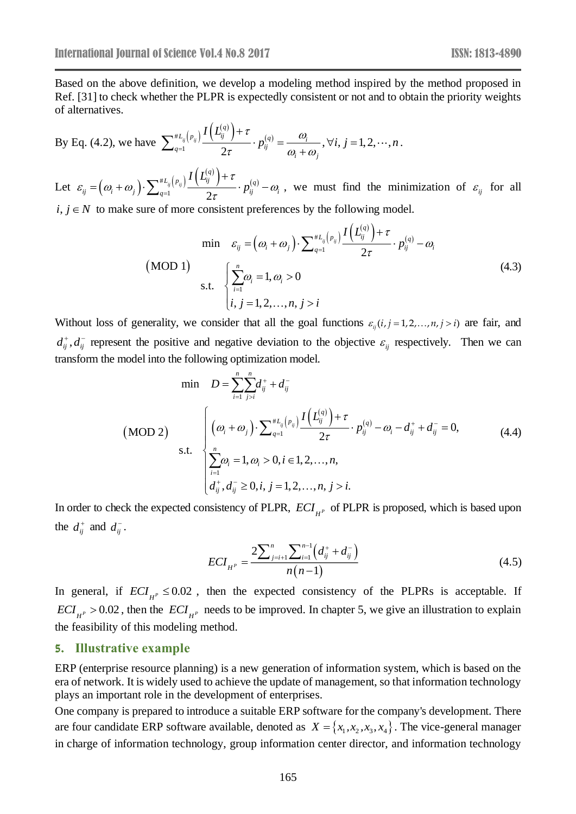Based on the above definition, we develop a modeling method inspired by the method proposed in Ref. [31] to check whether the PLPR is expectedly consistent or not and to obtain the priority weights of alternatives.

By Eq. (4.2), we have 
$$
\sum_{q=1}^{*L_{ij}(p_{ij})}\frac{I(L_{ij}^{(q)})+\tau}{2\tau}\cdot p_{ij}^{(q)}=\frac{\omega_i}{\omega_i+\omega_j}, \forall i, j=1,2,\cdots,n.
$$

Let  $\varepsilon_{ij} = (\omega_i + \omega_j)$  $^{#L}_{\mathit{ij}}\left(\mathit{p}_{\mathit{ij}}\right) \frac{I\left(\mathit{L}^{(q)}_{\mathit{ij}}\right)+\tau}{I\cdot \boldsymbol{p}^{(q)}}$ <sup>1</sup> 2 *ij ij*  $L_{ij}(p_{ij}) I(L_{ij}^{(q)}) + \tau_{ij}(q)$ *i*  $\left(\begin{array}{ccc} c_i & c_j \end{array}\right)$   $\angle q=1$   $\gamma_{\tau}$   $\begin{array}{ccc} r_{ij} & c_j \end{array}$ *L p*  $I(L_{ii}^{q})+\tau$  $\varepsilon_{ii} = \omega_i + \omega_i$ τ  $(\omega_i + \omega_j) \cdot \sum_{q=1}^{\infty} q_q \cdot \sum_{\tau} \cdots \sum_{q} \cdot p_{ij}^{(\tau)} - \omega_i$  $=\left(\omega_i+\omega_j\right)\cdot\sum_{q=1}^{*L_{ij}(p_{ij})}\frac{I(L_{ij}^{L})+\tau}{2\tau}\cdot p_{ij}^{(q)}-\omega_i$ , we must find the minimization of  $\varepsilon_{ij}$  for all  $i, j \in N$  to make sure of more consistent preferences by the following model.

$$
\min \quad \mathcal{E}_{ij} = \left(\omega_i + \omega_j\right) \cdot \sum_{q=1}^{\#L_{ij}\left(p_{ij}\right)} \frac{I\left(L_{ij}^{(q)}\right) + \tau}{2\tau} \cdot p_{ij}^{(q)} - \omega_i
$$
\n
$$
\text{(MOD 1)} \quad \sum_{i=1}^{n} \omega_i = 1, \omega_i > 0
$$
\n
$$
\vdots \quad \sum_{i=1}^{n} \omega_i = 1, \omega_i > 0
$$
\n
$$
(4.3)
$$

Without loss of generality, we consider that all the goal functions  $\varepsilon_{ij}(i, j = 1, 2, \dots, n, j > i)$  are fair, and  $d_{ij}^+, d_{ij}^-$  represent the positive and negative deviation to the objective  $\varepsilon_{ij}$  respectively. Then we can transform the model into the following optimization model.

$$
\begin{aligned}\n\text{min} \quad & D = \sum_{i=1}^{n} \sum_{j>i}^{n} d_{ij}^{+} + d_{ij}^{-} \\
\text{(MOD 2)} \quad & \begin{cases}\n\left(\omega_{i} + \omega_{j}\right) \cdot \sum_{q=1}^{*L_{ij}} \left(\nu_{ij}\right) \frac{I\left(L_{ij}^{(q)}\right) + \tau}{2\tau} \cdot p_{ij}^{(q)} - \omega_{i} - d_{ij}^{+} + d_{ij}^{-} = 0, \\
\sum_{i=1}^{n} \omega_{i} = 1, \omega_{i} > 0, i \in 1, 2, \dots, n, \\
d_{ij}^{+}, d_{ij}^{-} \geq 0, i, j = 1, 2, \dots, n, j > i.\n\end{cases}\n\end{aligned} \tag{4.4}
$$

In order to check the expected consistency of PLPR,  $ECI_{H^P}$  of PLPR is proposed, which is based upon the  $d_{ij}^+$  and  $d_{ij}^-$ .

$$
ECI_{H^P} = \frac{2\sum_{j=i+1}^{n} \sum_{i=1}^{n-1} \left(d_{ij}^+ + d_{ij}^-\right)}{n(n-1)}
$$
(4.5)

In general, if  $ECI_{H^P} \leq 0.02$ , then the expected consistency of the PLPRs is acceptable. If  $FCI_{H^P} > 0.02$ , then the  $FCI_{H^P}$  needs to be improved. In chapter 5, we give an illustration to explain the feasibility of this modeling method.

#### **5. Illustrative example**

ERP (enterprise resource planning) is a new generation of information system, which is based on the era of network. It is widely used to achieve the update of management, so that information technology plays an important role in the development of enterprises.

One company is prepared to introduce a suitable ERP software for the company's development. There are four candidate ERP software available, denoted as  $X = \{x_1, x_2, x_3, x_4\}$ . The vice-general manager in charge of information technology, group information center director, and information technology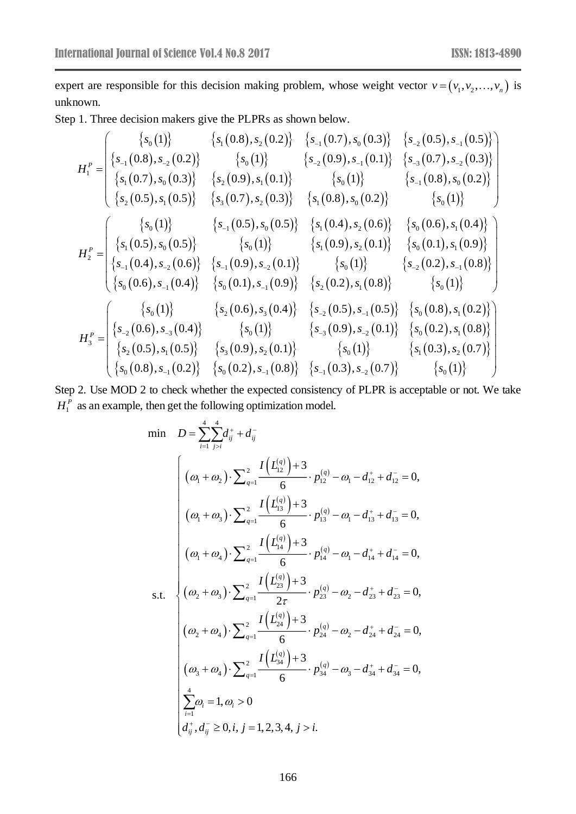expert are responsible for this decision making problem, whose weight vector  $v = (v_1, v_2, ..., v_n)$  is unknown.

Step 1. Three decision makers give the PLPRs as shown below.

$$
H_1^P = \begin{cases} \{s_{-1}(0.8), s_{-2}(0.2)\} & \{s_{-1}(0.7), s_{0}(0.3)\} & \{s_{-2}(0.5), s_{-1}(0.5)\} \\ \{s_{1}(0.8), s_{-2}(0.2)\} & \{s_{0}(1)\} & \{s_{-2}(0.9), s_{-1}(0.1)\} & \{s_{-3}(0.7), s_{-2}(0.3)\} \\ \{s_{1}(0.7), s_{0}(0.3)\} & \{s_{2}(0.9), s_{1}(0.1)\} & \{s_{0}(1)\} & \{s_{-1}(0.8), s_{0}(0.2)\} \\ \{s_{2}(0.5), s_{1}(0.5)\} & \{s_{3}(0.7), s_{2}(0.3)\} & \{s_{1}(0.8), s_{0}(0.2)\} & \{s_{0}(1)\} \\ \{s_{-1}(0.5), s_{0}(0.5)\} & \{s_{-1}(0.5), s_{0}(0.5)\} & \{s_{1}(0.9), s_{2}(0.1)\} & \{s_{0}(0.6), s_{1}(0.4)\} \\ \{s_{-1}(0.4), s_{-2}(0.6)\} & \{s_{-1}(0.9), s_{-2}(0.1)\} & \{s_{0}(1)\} & \{s_{0}(0.1), s_{1}(0.9)\} \\ \{s_{0}(0.6), s_{-1}(0.4)\} & \{s_{0}(0.1), s_{-1}(0.9)\} & \{s_{2}(0.2), s_{1}(0.8)\} & \{s_{0}(1)\} \\ \{s_{0}(0.6), s_{-1}(0.4)\} & \{s_{0}(0.1), s_{-1}(0.9)\} & \{s_{2}(0.2), s_{1}(0.5)\} & \{s_{0}(0.8), s_{1}(0.2)\} \\ \{s_{2}(0.6), s_{-3}(0.4)\} & \{s_{0}(1)\} & \{s_{-2}(0.5), s_{-1}(0.5)\} & \{s_{0}(0.8), s_{1}(0.2)\} \\ \{s_{2}(0.5), s_{1}(0.5)\} & \{s_{0}(1)\} & \{s_{0}(1)\} & \{s_{0}(1)\} & \{s_{0}(0.2), s_{1}(0.3)\} \\ \{s_{0}(0.8), s_{-1
$$

Step 2. Use MOD 2 to check whether the expected consistency of PLPR is acceptable or not. We take  $H_1^P$  as an example, then get the following optimization model.

$$
\begin{aligned}\n\min \quad & D = \sum_{i=1}^{4} \sum_{j>i}^{4} d_{ij}^{+} + d_{ij}^{-} \\
& \left( \omega_{1} + \omega_{2} \right) \cdot \sum_{q=1}^{2} \frac{I\left(L_{12}^{(q)}\right) + 3}{6} \cdot p_{12}^{(q)} - \omega_{1} - d_{12}^{+} + d_{12}^{-} = 0, \\
& \left( \omega_{1} + \omega_{3} \right) \cdot \sum_{q=1}^{2} \frac{I\left(L_{13}^{(q)}\right) + 3}{6} \cdot p_{13}^{(q)} - \omega_{1} - d_{13}^{+} + d_{13}^{-} = 0, \\
& \left( \omega_{1} + \omega_{4} \right) \cdot \sum_{q=1}^{2} \frac{I\left(L_{14}^{(q)}\right) + 3}{6} \cdot p_{14}^{(q)} - \omega_{1} - d_{14}^{+} + d_{14}^{-} = 0, \\
& \text{s.t.} \quad \left\{ \left( \omega_{2} + \omega_{3} \right) \cdot \sum_{q=1}^{2} \frac{I\left(L_{23}^{(q)}\right) + 3}{2\tau} \cdot p_{23}^{(q)} - \omega_{2} - d_{23}^{+} + d_{23}^{-} = 0, \\
& \left( \omega_{2} + \omega_{4} \right) \cdot \sum_{q=1}^{2} \frac{I\left(L_{24}^{(q)}\right) + 3}{6} \cdot p_{24}^{(q)} - \omega_{2} - d_{24}^{+} + d_{24}^{-} = 0, \\
& \left( \omega_{3} + \omega_{4} \right) \cdot \sum_{q=1}^{2} \frac{I\left(L_{34}^{(q)}\right) + 3}{6} \cdot p_{34}^{(q)} - \omega_{3} - d_{34}^{+} + d_{34}^{-} = 0, \\
& \sum_{i=1}^{4} \omega_{i} = 1, \omega_{i} > 0 \\
& \left| \sum_{i=1}^{4} \omega_{i} = 1, \omega_{i} > 0, \\
& \left| \sum_{i=1}^{4} \omega_{i} = 0, i, j = 1, 2, 3, 4, j > i.\n\end{aligned} \right.
$$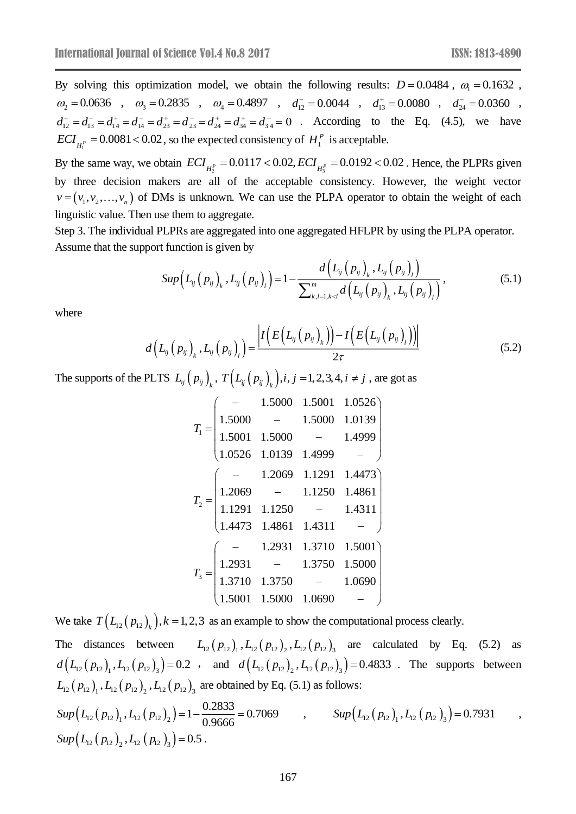By solving this optimization model, we obtain the following results:  $D = 0.0484$ ,  $\omega_1 = 0.1632$ ,  $\omega_2 = 0.0636$ ,  $\omega_3 = 0.2835$ ,  $\omega_4 = 0.4897$ ,  $d_{12}^- = 0.0044$ ,  $d_{13}^+ = 0.0080$ ,  $d_{24}^- = 0.0360$ ,  $d_{12}^+ = d_{13}^- = d_{14}^+ = d_{14}^- = d_{23}^+ = d_{24}^- = d_{34}^+ = d_{34}^- = 0$  . According to the Eq. (4.5), we have 1  $ECI_{H_1^p} = 0.0081 < 0.02$ , so the expected consistency of  $H_1^p$  is acceptable.

 $ECI_{H_1^P} = 0.0081 < 0.02$ , so the expected consistency of  $H_1^P$  is acceptable.<br>By the same way, we obtain  $ECI_{H_2^P} = 0.0117 < 0.02$ ,  $ECI_{H_3^P} = 0.0192 < 0.02$ . Hence, the PLPRs given by three decision makers are all of the acceptable consistency. However, the weight vector  $v = (v_1, v_2, \dots, v_n)$  of DMs is unknown. We can use the PLPA operator to obtain the weight of each linguistic value. Then use them to aggregate.

Step 3. The individual PLPRs are aggregated into one aggregated HFLPR by using the PLPA operator.

Assume that the support function is given by\n
$$
Sup\left(L_{ij}(p_{ij})_k, L_{ij}(p_{ij})_l\right) = 1 - \frac{d\left(L_{ij}(p_{ij})_k, L_{ij}(p_{ij})_l\right)}{\sum_{k,l=1,k\n(5.1)
$$

where

$$
d(L_{ij}(p_{ij})_{k}, L_{ij}(p_{ij})_{l}) = \frac{\left| I(E(L_{ij}(p_{ij})_{k})) - I(E(L_{ij}(p_{ij})_{l})) \right|}{2\tau}
$$
\n(5.2)

The supports of the PLTS  $L_{ij}(p_{ij})_k$ ,  $T(L_{ij}(p_{ij})_k), i, j = 1, 2, 3, 4, i \neq j$ , are got as

$$
T_{1} = \begin{pmatrix}\n- & 1.5000 & 1.5001 & 1.0526 \\
1.5000 & - & 1.5000 & 1.0139 \\
1.5001 & 1.5000 & - & 1.4999 \\
1.0526 & 1.0139 & 1.4999 & -\n\end{pmatrix}
$$
\n
$$
T_{2} = \begin{pmatrix}\n- & 1.2069 & 1.1291 & 1.4473 \\
1.2069 & - & 1.1250 & 1.4861 \\
1.1291 & 1.1250 & - & 1.4311 \\
1.4473 & 1.4861 & 1.4311 & -\n\end{pmatrix}
$$
\n
$$
T_{3} = \begin{pmatrix}\n- & 1.2931 & 1.3710 & 1.5001 \\
1.2931 & - & 1.3750 & 1.5000 \\
1.3710 & 1.3750 & - & 1.0690 \\
1.5001 & 1.5000 & 1.0690 & -\n\end{pmatrix}
$$

We take  $T(L_{12}(p_{12})_k)$ ,  $k = 1, 2, 3$  as an example to show the computational process clearly. The distances between  $L_{12}(p_{12})_1, L_{12}(p_{12})_2, L_{12}(p_{12})_3$  are calculated by Eq. (5.2) as  $d(L_{12}(p_{12})_1, L_{12}(p_{12})_3) = 0.2$ , and  $d(L_{12}(p_{12})_2, L_{12}(p_{12})_3) = 0.4833$ . The supports between  $L_{12} (p_{12})_1, L_{12} (p_{12})_2, L_{12} (p_{12})_3$  are obtained by Eq. (5.1) as follows:  $Sup(L_{12}(p_{12})_1, L_{12}(p_{12})_2) = 1 - \frac{0.2833}{0.9666} = 0.7069$ ,  $Sup(L_{12}(p_{12})_1, L_{12}(p_{12})_3) = 0.7931$ ,  $Sup(L_{12}(p_{12}), L_{12}(p_{12}), )=0.5$ .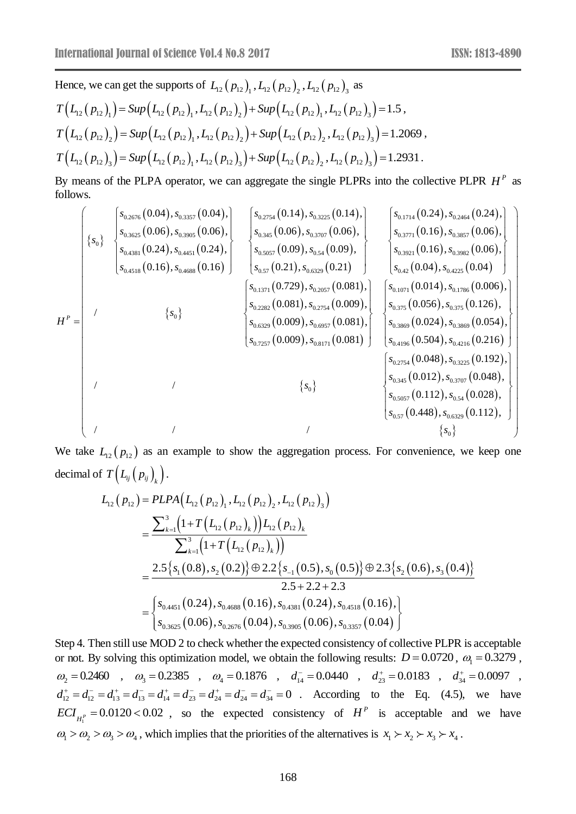Hence, we can get the supports of 
$$
L_{12}(p_{12})_1
$$
,  $L_{12}(p_{12})_2$ ,  $L_{12}(p_{12})_3$  as  
\n
$$
T(L_{12}(p_{12})_1) = \text{Sup}(L_{12}(p_{12})_1, L_{12}(p_{12})_2) + \text{Sup}(L_{12}(p_{12})_1, L_{12}(p_{12})_3) = 1.5,
$$
\n
$$
T(L_{12}(p_{12})_2) = \text{Sup}(L_{12}(p_{12})_1, L_{12}(p_{12})_2) + \text{Sup}(L_{12}(p_{12})_2, L_{12}(p_{12})_3) = 1.2069,
$$
\n
$$
T(L_{12}(p_{12})_3) = \text{Sup}(L_{12}(p_{12})_1, L_{12}(p_{12})_3) + \text{Sup}(L_{12}(p_{12})_2, L_{12}(p_{12})_3) = 1.2931.
$$

By means of the PLPA operator, we can aggregate the single PLPRs into the collective PLPR  $H^P$  as follows.

$$
H^{P} = \begin{pmatrix} \begin{cases} s_{0.2676} (0.04), s_{0.3597} (0.04), \\ s_{0.3625} (0.06), s_{0.3905} (0.06), \\ s_{0.481} (0.24), s_{0.4451} (0.24), \\ s_{0.481} (0.16), s_{0.4688} (0.16) \end{cases} \end{pmatrix} \begin{bmatrix} s_{0.2754} (0.14), s_{0.3225} (0.14), \\ s_{0.3707} (0.06), \\ s_{0.577} (0.06), s_{0.3707} (0.06), \\ s_{0.577} (0.072), s_{0.529} (0.21) \end{bmatrix} \end{pmatrix} \begin{bmatrix} s_{0.1714} (0.24), s_{0.2464} (0.24), \\ s_{0.3771} (0.16), s_{0.3857} (0.06), \\ s_{0.42} (0.04), s_{0.4225} (0.04) \end{bmatrix} \end{pmatrix} \\ = \begin{bmatrix} s_{0.1714} (0.24), s_{0.481} (0.24), s_{0.4518} (0.24), \\ s_{0.572} (0.21), s_{0.6329} (0.21) \end{bmatrix} \begin{bmatrix} s_{0.1714} (0.24), s_{0.2464} (0.24), \\ s_{0.3771} (0.16), s_{0.3857} (0.06), \\ s_{0.42} (0.04), s_{0.4225} (0.04) \end{bmatrix} \\ = \begin{bmatrix} s_{0.1714} (0.24), s_{0.458} (0.06), \\ s_{0.572} (0.072), s_{0.573} (0.081), \\ s_{0.575} (0.081), s_{0.2754} (0.009), \\ s_{0.577} (0.081) \end{bmatrix} \begin{bmatrix} s_{0.1714} (0.24), s_{0.458} (0.24), \\ s_{0.425} (0.04), s_{0.4225} (0.04) \end
$$

We take  $L_{12}(p_{12})$  as an example to show the aggregation process. For convenience, we keep one decimal of  $T\left(L_{ij}\left(p_{ij}\right)_{k}\right)$ .

$$
L_{12}(p_{12}) = PLPA(L_{12}(p_{12})_1, L_{12}(p_{12})_2, L_{12}(p_{12})_3)
$$
  
= 
$$
\frac{\sum_{k=1}^{3} (1+T(L_{12}(p_{12})_k))L_{12}(p_{12})_k}{\sum_{k=1}^{3} (1+T(L_{12}(p_{12})_k))}
$$
  
= 
$$
\frac{2.5\{s_1(0.8), s_2(0.2)\}\oplus 2.2\{s_{-1}(0.5), s_0(0.5)\}\oplus 2.3\{s_2(0.6), s_3(0.4)\}}{2.5+2.2+2.3}
$$
  
= 
$$
\begin{cases} s_{0.4451}(0.24), s_{0.4688}(0.16), s_{0.4381}(0.24), s_{0.4518}(0.16), \\ s_{0.3625}(0.06), s_{0.2676}(0.04), s_{0.3905}(0.06), s_{0.3357}(0.04) \end{cases}
$$

Step 4. Then still use MOD 2 to check whether the expected consistency of collective PLPR is acceptable or not. By solving this optimization model, we obtain the following results:  $D = 0.0720$ ,  $\omega_1 = 0.3279$ ,  $\omega_2 = 0.2460$ ,  $\omega_3 = 0.2385$ ,  $\omega_4 = 0.1876$ ,  $d_{14}^- = 0.0440$ ,  $d_{23}^+ = 0.0183$ ,  $d_{34}^+ = 0.0097$ ,  $d_{12}^+ = d_{12}^- = d_{13}^+ = d_{13}^- = d_{14}^+ = d_{23}^- = d_{24}^- = d_{24}^- = d_{34}^- = 0$ . According to the Eq. (4.5), we have  $ECI_{H_1^P} = 0.0120 < 0.02$ , so the expected consistency of  $H^P$  is acceptable and we have  $\omega_1 > \omega_2 > \omega_3 > \omega_4$ , which implies that the priorities of the alternatives is  $x_1 > x_2 > x_3 > x_4$ .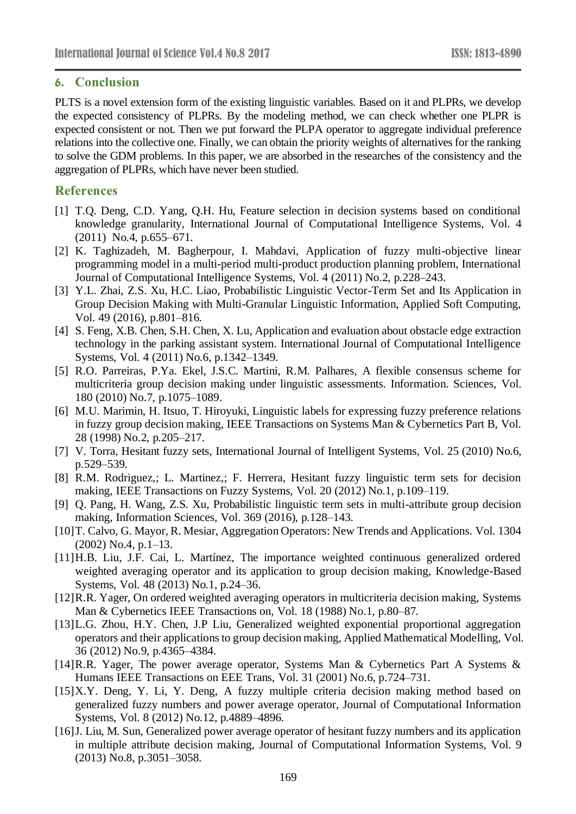# **6. Conclusion**

PLTS is a novel extension form of the existing linguistic variables. Based on it and PLPRs, we develop the expected consistency of PLPRs. By the modeling method, we can check whether one PLPR is expected consistent or not. Then we put forward the PLPA operator to aggregate individual preference relations into the collective one. Finally, we can obtain the priority weights of alternatives for the ranking to solve the GDM problems. In this paper, we are absorbed in the researches of the consistency and the aggregation of PLPRs, which have never been studied.

# **References**

- [1] T.Q. Deng, C.D. Yang, Q.H. Hu, Feature selection in decision systems based on conditional knowledge granularity, International Journal of Computational Intelligence Systems, Vol. 4 (2011) No.4, p.655–671.
- [2] K. Taghizadeh, M. Bagherpour, I. Mahdavi, Application of fuzzy multi-objective linear programming model in a multi-period multi-product production planning problem, International Journal of Computational Intelligence Systems, Vol. 4 (2011) No.2, p.228–243.
- [3] Y.L. Zhai, Z.S. Xu, H.C. Liao, Probabilistic Linguistic Vector-Term Set and Its Application in Group Decision Making with Multi-Granular Linguistic Information, Applied Soft Computing, Vol. 49 (2016), p.801–816.
- [4] S. Feng, X.B. Chen, S.H. Chen, X. Lu, Application and evaluation about obstacle edge extraction technology in the parking assistant system. International Journal of Computational Intelligence Systems, Vol. 4 (2011) No.6, p.1342–1349.
- [5] R.O. Parreiras, P.Ya. Ekel, J.S.C. Martini, R.M. Palhares, A flexible consensus scheme for multicriteria group decision making under linguistic assessments. Information. Sciences, Vol. 180 (2010) No.7, p.1075–1089.
- [6] M.U. Marimin, H. Itsuo, T. Hiroyuki, Linguistic labels for expressing fuzzy preference relations in fuzzy group decision making, IEEE Transactions on Systems Man & Cybernetics Part B, Vol. 28 (1998) No.2, p.205–217.
- [7] V. Torra, Hesitant fuzzy sets, International Journal of Intelligent Systems, Vol. 25 (2010) No.6, p.529–539.
- [8] R.M. Rodriguez,; L. Martinez,; F. Herrera, Hesitant fuzzy linguistic term sets for decision making, IEEE Transactions on Fuzzy Systems, Vol. 20 (2012) No.1, p.109–119.
- [9] Q. Pang, H. Wang, Z.S. Xu, Probabilistic linguistic term sets in multi-attribute group decision making, Information Sciences, Vol. 369 (2016), p.128–143.
- [10]T. Calvo, G. Mayor, R. Mesiar, Aggregation Operators: New Trends and Applications. Vol. 1304 (2002) No.4, p.1–13.
- [11]H.B. Liu, J.F. Cai, L. Martínez, The importance weighted continuous generalized ordered weighted averaging operator and its application to group decision making, Knowledge-Based Systems, Vol. 48 (2013) No.1, p.24–36.
- [12]R.R. Yager, On ordered weighted averaging operators in multicriteria decision making, Systems Man & Cybernetics IEEE Transactions on, Vol. 18 (1988) No.1, p.80–87.
- [13]L.G. Zhou, H.Y. Chen, J.P Liu, Generalized weighted exponential proportional aggregation operators and their applications to group decision making, Applied Mathematical Modelling, Vol. 36 (2012) No.9, p.4365–4384.
- [14]R.R. Yager, The power average operator, Systems Man & Cybernetics Part A Systems & Humans IEEE Transactions on EEE Trans, Vol. 31 (2001) No.6, p.724–731.
- [15]X.Y. Deng, Y. Li, Y. Deng, A fuzzy multiple criteria decision making method based on generalized fuzzy numbers and power average operator, Journal of Computational Information Systems, Vol. 8 (2012) No.12, p.4889–4896.
- [16] J. Liu, M. Sun, Generalized power average operator of hesitant fuzzy numbers and its application in multiple attribute decision making, Journal of Computational Information Systems, Vol. 9 (2013) No.8, p.3051–3058.